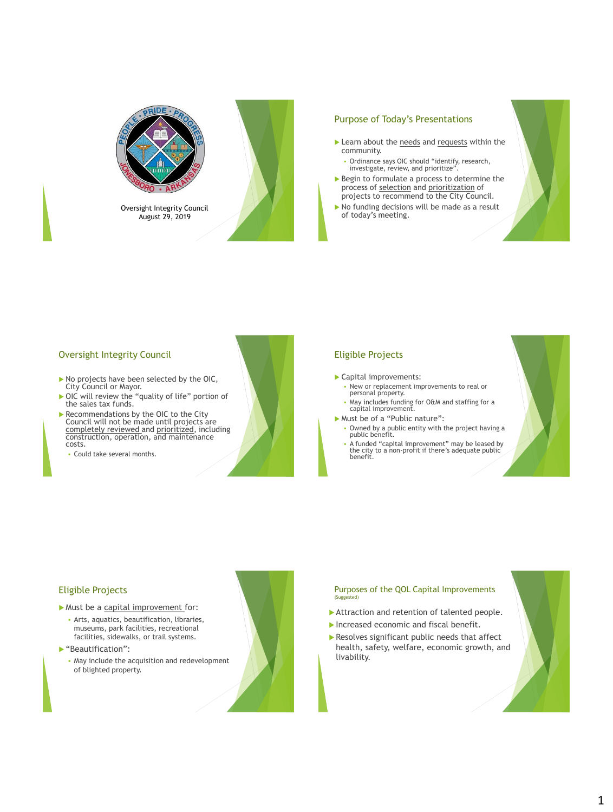

### Purpose of Today's Presentations

- Learn about the needs and requests within the community.
	- Ordinance says OIC should "identify, research, investigate, review, and prioritize".
- $\triangleright$  Begin to formulate a process to determine the process of selection and prioritization of projects to recommend to the City Council.
- $\triangleright$  No funding decisions will be made as a result of today's meeting.

### Oversight Integrity Council

- No projects have been selected by the OIC, City Council or Mayor.
- OIC will review the "quality of life" portion of the sales tax funds.
- $\blacktriangleright$  Recommendations by the OIC to the City Council will not be made until projects are completely reviewed and prioritized, including construction, operation, and maintenance costs.
	- Could take several months.

# Eligible Projects

- Capital improvements:
	- New or replacement improvements to real or personal property.
- May includes funding for O&M and staffing for a capital improvement.
- Must be of a "Public nature":
	- Owned by a public entity with the project having a public benefit.
	- A funded "capital improvement" may be leased by<br>the city to a non-profit if there's adequate public<br>benefit.



## Eligible Projects

- Must be a capital improvement for:
	- Arts, aquatics, beautification, libraries, museums, park facilities, recreational facilities, sidewalks, or trail systems.
- ▶ "Beautification":
	- May include the acquisition and redevelopment of blighted property.



- Attraction and retention of talented people.
- Increased economic and fiscal benefit.
- Resolves significant public needs that affect health, safety, welfare, economic growth, and livability.